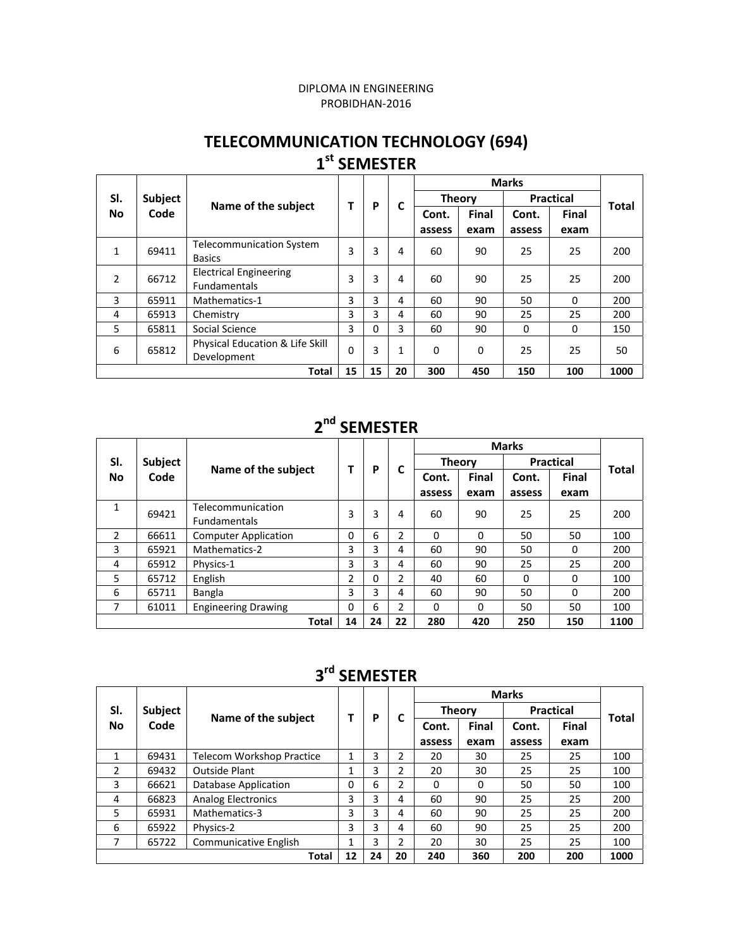#### DIPLOMA IN ENGINEERING PROBIDHAN‐2016

#### **TELECOMMUNICATION TECHNOLOGY (694) 1st SEMESTER**

|           |         |                                                      |    | P        | C            |               |          |                  |              |              |
|-----------|---------|------------------------------------------------------|----|----------|--------------|---------------|----------|------------------|--------------|--------------|
| SI.       | Subject | Name of the subject                                  |    |          |              | <b>Theory</b> |          | <b>Practical</b> |              | <b>Total</b> |
| <b>No</b> | Code    |                                                      |    |          |              | Cont.         | Final    | Cont.            | <b>Final</b> |              |
|           |         |                                                      |    |          |              | assess        | exam     | assess           | exam         |              |
| 1         | 69411   | <b>Telecommunication System</b><br><b>Basics</b>     | 3  | 3        | 4            | 60            | 90       | 25               | 25           | 200          |
| 2         | 66712   | <b>Electrical Engineering</b><br><b>Fundamentals</b> | 3  | 3        | 4            | 60            | 90       | 25               | 25           | 200          |
| 3         | 65911   | Mathematics-1                                        | 3  | 3        | 4            | 60            | 90       | 50               | $\Omega$     | 200          |
| 4         | 65913   | Chemistry                                            | 3  | 3        | 4            | 60            | 90       | 25               | 25           | 200          |
| 5         | 65811   | Social Science                                       | 3  | $\Omega$ | 3            | 60            | 90       | $\Omega$         | $\Omega$     | 150          |
| 6         | 65812   | Physical Education & Life Skill<br>Development       | 0  | 3        | $\mathbf{1}$ | $\Omega$      | $\Omega$ | 25               | 25           | 50           |
|           |         | <b>Total</b>                                         | 15 | 15       | 20           | 300           | 450      | 150              | 100          | 1000         |

#### **2nd SEMESTER**

|                  | Subject<br>Code |                                          |          | P  |                |               |       |                  |              |              |
|------------------|-----------------|------------------------------------------|----------|----|----------------|---------------|-------|------------------|--------------|--------------|
| SI.<br><b>No</b> |                 | Name of the subject                      |          |    | C              | <b>Theory</b> |       | <b>Practical</b> |              | <b>Total</b> |
|                  |                 |                                          |          |    |                | Cont.         | Final | Cont.            | <b>Final</b> |              |
|                  |                 |                                          |          |    |                | assess        | exam  | assess           | exam         |              |
| 1                | 69421           | Telecommunication<br><b>Fundamentals</b> | 3        | 3  | 4              | 60            | 90    | 25               | 25           | 200          |
| 2                | 66611           | <b>Computer Application</b>              | $\Omega$ | 6  | 2              | $\Omega$      | 0     | 50               | 50           | 100          |
| 3                | 65921           | Mathematics-2                            | 3        | 3  | 4              | 60            | 90    | 50               | $\Omega$     | 200          |
| 4                | 65912           | Physics-1                                | 3        | 3  | 4              | 60            | 90    | 25               | 25           | 200          |
| 5                | 65712           | English                                  | 2        | 0  | $\mathcal{P}$  | 40            | 60    | 0                | $\Omega$     | 100          |
| 6                | 65711           | Bangla                                   | 3        | 3  | 4              | 60            | 90    | 50               | 0            | 200          |
| 7                | 61011           | <b>Engineering Drawing</b>               | 0        | 6  | $\mathfrak{p}$ | 0             | 0     | 50               | 50           | 100          |
|                  |                 | <b>Total</b>                             | 14       | 24 | 22             | 280           | 420   | 250              | 150          | 1100         |

#### **3rd SEMESTER**

| SI.       | <b>Subject</b> |                           |          | P  | C              | <b>Theory</b> |              | <b>Practical</b> |              | <b>Total</b> |
|-----------|----------------|---------------------------|----------|----|----------------|---------------|--------------|------------------|--------------|--------------|
| <b>No</b> | Code           | Name of the subject       |          |    |                | Cont.         | <b>Final</b> | Cont.            | <b>Final</b> |              |
|           |                |                           |          |    |                | assess        | exam         | assess           | exam         |              |
| 1         | 69431          | Telecom Workshop Practice |          | 3  | $\overline{2}$ | 20            | 30           | 25               | 25           | 100          |
| 2         | 69432          | <b>Outside Plant</b>      |          | 3  | 2              | 20            | 30           | 25               | 25           | 100          |
| 3         | 66621          | Database Application      | $\Omega$ | 6  | $\overline{2}$ | 0             | 0            | 50               | 50           | 100          |
| 4         | 66823          | <b>Analog Electronics</b> | 3        | 3  | 4              | 60            | 90           | 25               | 25           | 200          |
| 5         | 65931          | Mathematics-3             | 3        | 3  | 4              | 60            | 90           | 25               | 25           | 200          |
| 6         | 65922          | Physics-2                 | 3        | 3  | 4              | 60            | 90           | 25               | 25           | 200          |
|           | 65722          | Communicative English     |          | 3  | 2              | 20            | 30           | 25               | 25           | 100          |
|           |                | <b>Total</b>              | 12       | 24 | 20             | 240           | 360          | 200              | 200          | 1000         |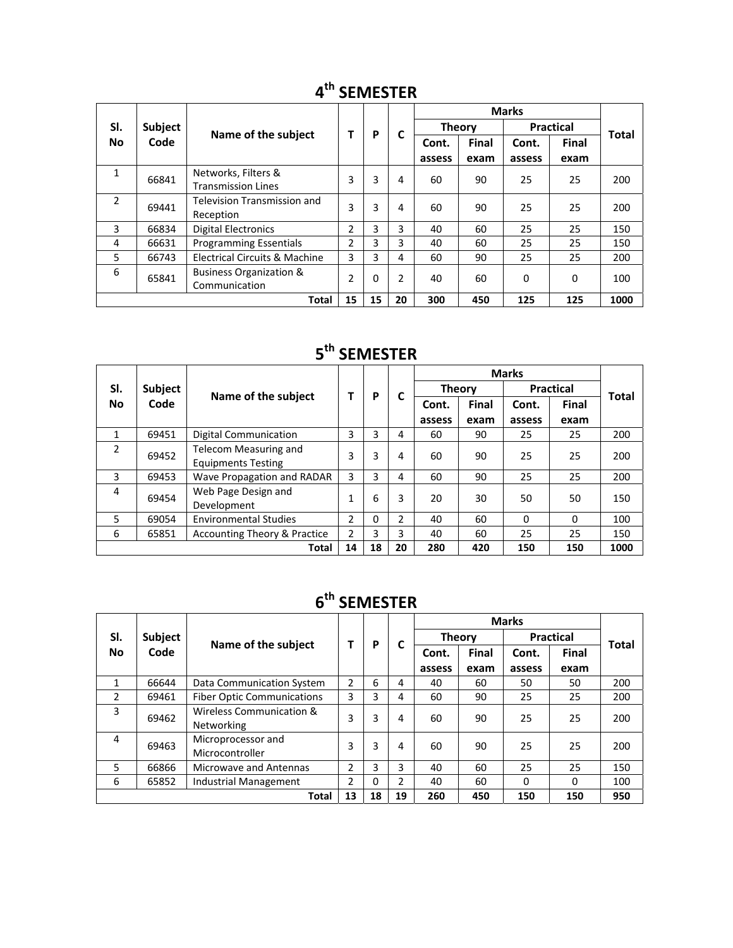|                | <b>Subject</b><br>Code |                                    |                |    | C              |               |              |                  |              |              |
|----------------|------------------------|------------------------------------|----------------|----|----------------|---------------|--------------|------------------|--------------|--------------|
| SI.            |                        | Name of the subject                |                | P  |                | <b>Theory</b> |              | <b>Practical</b> |              | <b>Total</b> |
| <b>No</b>      |                        |                                    |                |    |                | Cont.         | <b>Final</b> | Cont.            | <b>Final</b> |              |
|                |                        |                                    |                |    |                | assess        | exam         | assess           | exam         |              |
| $\mathbf{1}$   | 66841                  | Networks, Filters &                | 3              | 3  | 4              | 60            | 90           | 25               | 25           | 200          |
|                |                        | <b>Transmission Lines</b>          |                |    |                |               |              |                  |              |              |
| $\overline{2}$ | 69441                  | <b>Television Transmission and</b> | 3              | 3  | 4              | 60            | 90           | 25               | 25           | 200          |
|                |                        | Reception                          |                |    |                |               |              |                  |              |              |
| 3              | 66834                  | <b>Digital Electronics</b>         | 2              | 3  | 3              | 40            | 60           | 25               | 25           | 150          |
| 4              | 66631                  | <b>Programming Essentials</b>      | 2              | 3  | 3              | 40            | 60           | 25               | 25           | 150          |
| 5              | 66743                  | Electrical Circuits & Machine      | 3              | 3  | 4              | 60            | 90           | 25               | 25           | 200          |
| 6              | 65841                  | <b>Business Organization &amp;</b> | $\overline{2}$ | 0  | $\overline{2}$ | 40            | 60           | $\Omega$         |              | 100          |
|                |                        | Communication                      |                |    |                |               |              |                  | $\Omega$     |              |
|                |                        | <b>Total</b>                       | 15             | 15 | 20             | 300           | 450          | 125              | 125          | 1000         |

## **4th SEMESTER**

## **5th SEMESTER**

|                  |         |                                                    |    | P  | C  |               |              |                  |              |       |
|------------------|---------|----------------------------------------------------|----|----|----|---------------|--------------|------------------|--------------|-------|
| SI.<br><b>No</b> | Subject | Name of the subject                                | Т  |    |    | <b>Theory</b> |              | <b>Practical</b> |              | Total |
|                  | Code    |                                                    |    |    |    | Cont.         | <b>Final</b> | Cont.            | <b>Final</b> |       |
|                  |         |                                                    |    |    |    | assess        | exam         | assess           | exam         |       |
| 1                | 69451   | Digital Communication                              | 3  | 3  | 4  | 60            | 90           | 25               | 25           | 200   |
| 2                | 69452   | Telecom Measuring and<br><b>Equipments Testing</b> | 3  | 3  | 4  | 60            | 90           | 25               | 25           | 200   |
| 3                | 69453   | Wave Propagation and RADAR                         | 3  | 3  | 4  | 60            | 90           | 25               | 25           | 200   |
| 4                | 69454   | Web Page Design and<br>Development                 | 1  | 6  | 3  | 20            | 30           | 50               | 50           | 150   |
| 5                | 69054   | <b>Environmental Studies</b>                       | 2  | 0  | 2  | 40            | 60           | $\Omega$         | $\Omega$     | 100   |
| 6                | 65851   | Accounting Theory & Practice                       | 2  | 3  | 3  | 40            | 60           | 25               | 25           | 150   |
|                  |         | <b>Total</b>                                       | 14 | 18 | 20 | 280           | 420          | 150              | 150          | 1000  |

# **6th SEMESTER**

| SI.       | Subject |                                   |    |    |               | <b>Theory</b> |              | <b>Practical</b> |              | Total |
|-----------|---------|-----------------------------------|----|----|---------------|---------------|--------------|------------------|--------------|-------|
| <b>No</b> | Code    | Name of the subject               |    | P  | C             | Cont.         | <b>Final</b> | Cont.            | <b>Final</b> |       |
|           |         |                                   |    |    |               | assess        | exam         | assess           | exam         |       |
| 1         | 66644   | Data Communication System         | 2  | 6  | 4             | 40            | 60           | 50               | 50           | 200   |
| 2         | 69461   | <b>Fiber Optic Communications</b> | 3  | 3  | 4             | 60            | 90           | 25               | 25           | 200   |
| 3         | 69462   | Wireless Communication &          | 3  | 3  | 4             | 60            | 90           | 25               | 25           | 200   |
|           |         | Networking                        |    |    |               |               |              |                  |              |       |
| 4         | 69463   | Microprocessor and                | 3  | 3  | 4             | 60            | 90           | 25               | 25           | 200   |
|           |         | Microcontroller                   |    |    |               |               |              |                  |              |       |
| 5         | 66866   | <b>Microwave and Antennas</b>     | 2  | 3  | 3             | 40            | 60           | 25               | 25           | 150   |
| 6         | 65852   | <b>Industrial Management</b>      | 2  | 0  | $\mathcal{P}$ | 40            | 60           | $\Omega$         | $\Omega$     | 100   |
|           |         | Total                             | 13 | 18 | 19            | 260           | 450          | 150              | 150          | 950   |